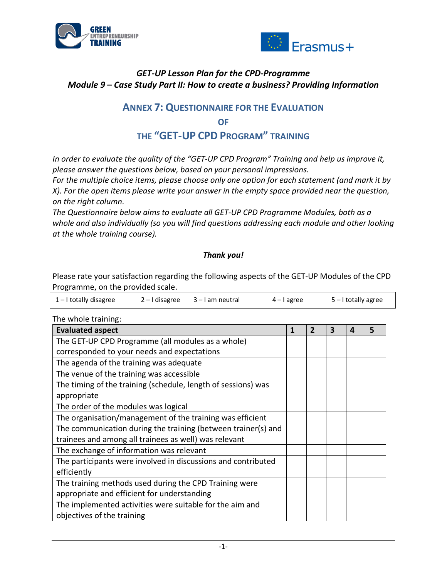



## *GET-UP Lesson Plan for the CPD-Programme Module 9 – Case Study Part II: How to create a business? Providing Information*

# **ANNEX 7: QUESTIONNAIRE FOR THE EVALUATION OF**

## **THE "GET-UP CPD PROGRAM" TRAINING**

*In order to evaluate the quality of the "GET-UP CPD Program" Training and help us improve it, please answer the questions below, based on your personal impressions.* 

*For the multiple choice items, please choose only one option for each statement (and mark it by X). For the open items please write your answer in the empty space provided near the question, on the right column.*

*The Questionnaire below aims to evaluate all GET-UP CPD Programme Modules, both as a whole and also individually (so you will find questions addressing each module and other looking at the whole training course).*

### *Thank you!*

Please rate your satisfaction regarding the following aspects of the GET-UP Modules of the CPD Programme, on the provided scale.

| 1-I totally disagree | $2 - 1$ disagree $3 - 1$ am neutral | $4 - I$ agree | $5$ – I totally agree |
|----------------------|-------------------------------------|---------------|-----------------------|
|                      |                                     |               |                       |

The whole training:

| <b>Evaluated aspect</b>                                       | 1 | $\overline{2}$ | 3 | Δ | 5 |
|---------------------------------------------------------------|---|----------------|---|---|---|
| The GET-UP CPD Programme (all modules as a whole)             |   |                |   |   |   |
| corresponded to your needs and expectations                   |   |                |   |   |   |
| The agenda of the training was adequate                       |   |                |   |   |   |
| The venue of the training was accessible                      |   |                |   |   |   |
| The timing of the training (schedule, length of sessions) was |   |                |   |   |   |
| appropriate                                                   |   |                |   |   |   |
| The order of the modules was logical                          |   |                |   |   |   |
| The organisation/management of the training was efficient     |   |                |   |   |   |
| The communication during the training (between trainer(s) and |   |                |   |   |   |
| trainees and among all trainees as well) was relevant         |   |                |   |   |   |
| The exchange of information was relevant                      |   |                |   |   |   |
| The participants were involved in discussions and contributed |   |                |   |   |   |
| efficiently                                                   |   |                |   |   |   |
| The training methods used during the CPD Training were        |   |                |   |   |   |
| appropriate and efficient for understanding                   |   |                |   |   |   |
| The implemented activities were suitable for the aim and      |   |                |   |   |   |
| objectives of the training                                    |   |                |   |   |   |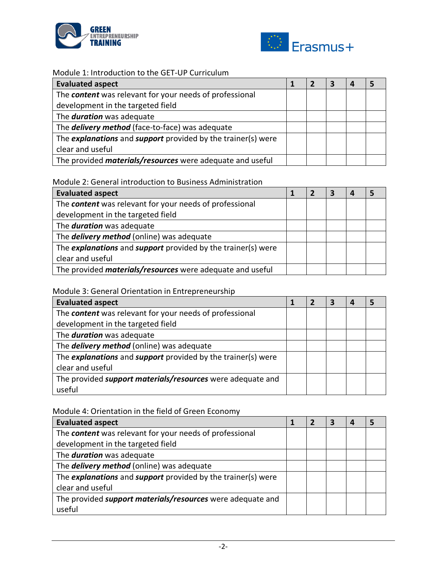



#### Module 1: Introduction to the GET-UP Curriculum

| <b>Evaluated aspect</b>                                                    |  | З |  |
|----------------------------------------------------------------------------|--|---|--|
| The <b>content</b> was relevant for your needs of professional             |  |   |  |
| development in the targeted field                                          |  |   |  |
| The <b>duration</b> was adequate                                           |  |   |  |
| The <b>delivery method</b> (face-to-face) was adequate                     |  |   |  |
| The <i>explanations</i> and <i>support</i> provided by the trainer(s) were |  |   |  |
| clear and useful                                                           |  |   |  |
| The provided <i>materials/resources</i> were adequate and useful           |  |   |  |

#### Module 2: General introduction to Business Administration

| <b>Evaluated aspect</b>                                                    |  | 7 | З |  |
|----------------------------------------------------------------------------|--|---|---|--|
| The <b>content</b> was relevant for your needs of professional             |  |   |   |  |
| development in the targeted field                                          |  |   |   |  |
| The <b>duration</b> was adequate                                           |  |   |   |  |
| The <b>delivery method</b> (online) was adequate                           |  |   |   |  |
| The <i>explanations</i> and <i>support</i> provided by the trainer(s) were |  |   |   |  |
| clear and useful                                                           |  |   |   |  |
| The provided <i>materials/resources</i> were adequate and useful           |  |   |   |  |

#### Module 3: General Orientation in Entrepreneurship

| <b>Evaluated aspect</b>                                      |  | 7 | 3 |  |
|--------------------------------------------------------------|--|---|---|--|
| The content was relevant for your needs of professional      |  |   |   |  |
| development in the targeted field                            |  |   |   |  |
| The <b>duration</b> was adequate                             |  |   |   |  |
| The <b>delivery method</b> (online) was adequate             |  |   |   |  |
| The explanations and support provided by the trainer(s) were |  |   |   |  |
| clear and useful                                             |  |   |   |  |
| The provided support materials/resources were adequate and   |  |   |   |  |
| useful                                                       |  |   |   |  |

### Module 4: Orientation in the field of Green Economy

| <b>Evaluated aspect</b>                                      |  | - 7 | -3 |  |
|--------------------------------------------------------------|--|-----|----|--|
| The content was relevant for your needs of professional      |  |     |    |  |
| development in the targeted field                            |  |     |    |  |
| The <b>duration</b> was adequate                             |  |     |    |  |
| The <b>delivery method</b> (online) was adequate             |  |     |    |  |
| The explanations and support provided by the trainer(s) were |  |     |    |  |
| clear and useful                                             |  |     |    |  |
| The provided support materials/resources were adequate and   |  |     |    |  |
| useful                                                       |  |     |    |  |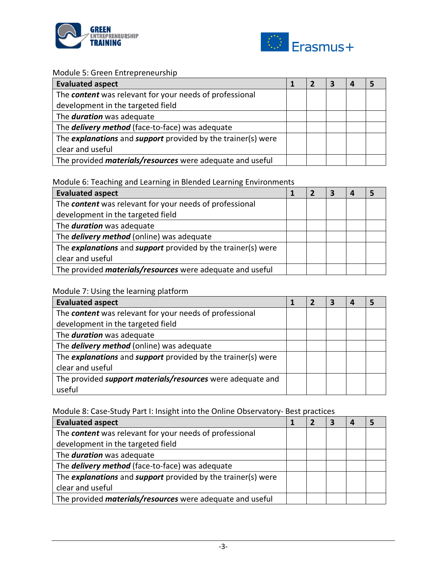



#### Module 5: Green Entrepreneurship

| <b>Evaluated aspect</b>                                                    |  | З |  |
|----------------------------------------------------------------------------|--|---|--|
| The <b>content</b> was relevant for your needs of professional             |  |   |  |
| development in the targeted field                                          |  |   |  |
| The <b>duration</b> was adequate                                           |  |   |  |
| The <b>delivery method</b> (face-to-face) was adequate                     |  |   |  |
| The <i>explanations</i> and <i>support</i> provided by the trainer(s) were |  |   |  |
| clear and useful                                                           |  |   |  |
| The provided <i>materials/resources</i> were adequate and useful           |  |   |  |

## Module 6: Teaching and Learning in Blended Learning Environments

| <b>Evaluated aspect</b>                                                    |  |  |  |
|----------------------------------------------------------------------------|--|--|--|
| The <b>content</b> was relevant for your needs of professional             |  |  |  |
| development in the targeted field                                          |  |  |  |
| The <b>duration</b> was adequate                                           |  |  |  |
| The <b>delivery method</b> (online) was adequate                           |  |  |  |
| The <i>explanations</i> and <i>support</i> provided by the trainer(s) were |  |  |  |
| clear and useful                                                           |  |  |  |
| The provided <i>materials/resources</i> were adequate and useful           |  |  |  |

## Module 7: Using the learning platform

| <b>Evaluated aspect</b>                                                    |  | 2 | 3 |  |
|----------------------------------------------------------------------------|--|---|---|--|
| The content was relevant for your needs of professional                    |  |   |   |  |
| development in the targeted field                                          |  |   |   |  |
| The <b>duration</b> was adequate                                           |  |   |   |  |
| The <b>delivery method</b> (online) was adequate                           |  |   |   |  |
| The <i>explanations</i> and <i>support</i> provided by the trainer(s) were |  |   |   |  |
| clear and useful                                                           |  |   |   |  |
| The provided support materials/resources were adequate and                 |  |   |   |  |
| useful                                                                     |  |   |   |  |

## Module 8: Case-Study Part I: Insight into the Online Observatory- Best practices

| <b>Evaluated aspect</b>                                          |  |  |  |
|------------------------------------------------------------------|--|--|--|
| The <b>content</b> was relevant for your needs of professional   |  |  |  |
| development in the targeted field                                |  |  |  |
| The <b>duration</b> was adequate                                 |  |  |  |
| The <b>delivery method</b> (face-to-face) was adequate           |  |  |  |
| The explanations and support provided by the trainer(s) were     |  |  |  |
| clear and useful                                                 |  |  |  |
| The provided <i>materials/resources</i> were adequate and useful |  |  |  |